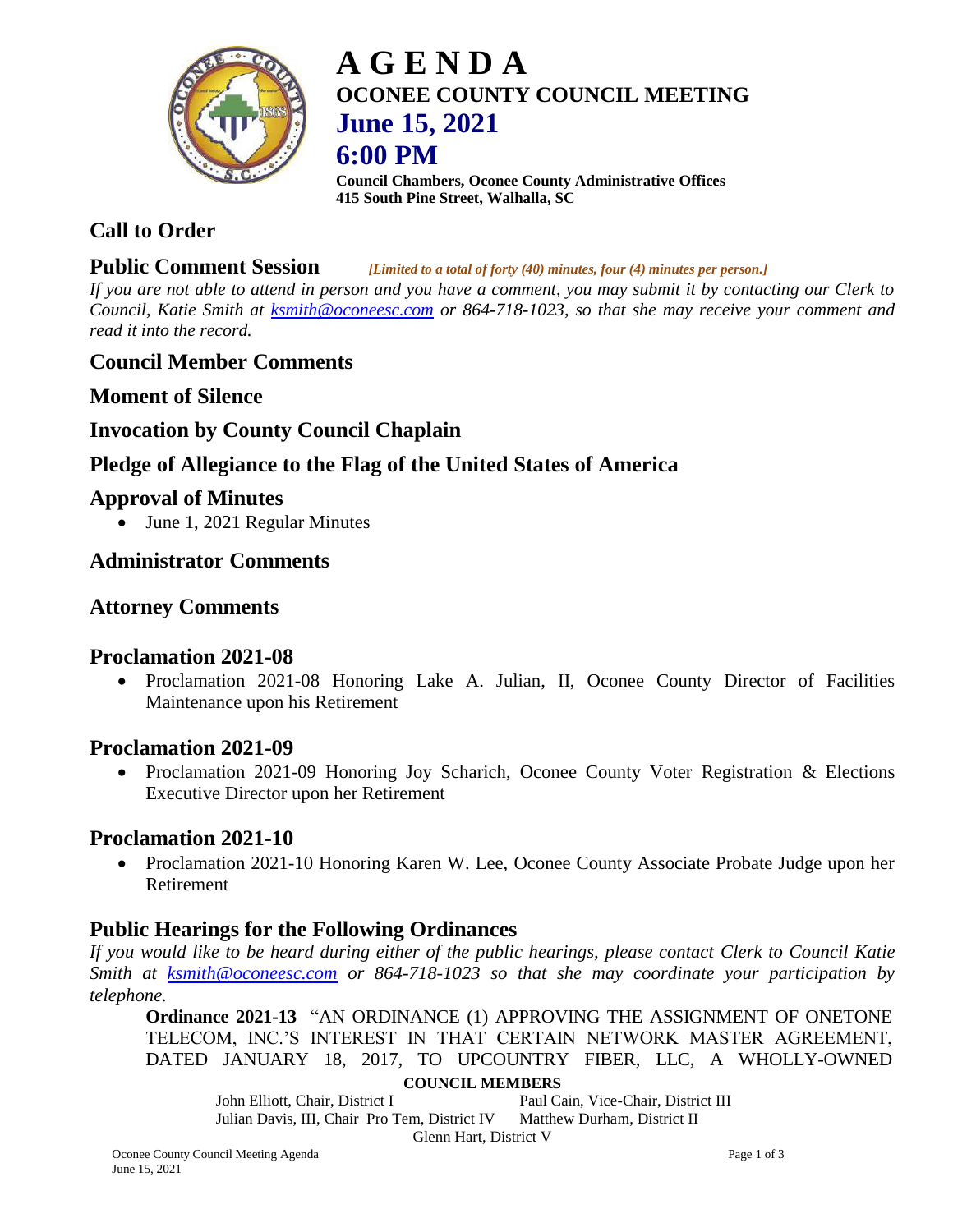

# **A G E N D A OCONEE COUNTY COUNCIL MEETING June 15, 2021 6:00 PM**

**Council Chambers, Oconee County Administrative Offices 415 South Pine Street, Walhalla, SC**

## **Call to Order**

## **Public Comment Session** *[Limited to a total of forty (40) minutes, four (4) minutes per person.]*

*If you are not able to attend in person and you have a comment, you may submit it by contacting our Clerk to Council, Katie Smith at [ksmith@oconeesc.com](mailto:ksmith@oconeesc.com) or 864-718-1023, so that she may receive your comment and read it into the record.*

## **Council Member Comments**

**Moment of Silence** 

## **Invocation by County Council Chaplain**

## **Pledge of Allegiance to the Flag of the United States of America**

## **Approval of Minutes**

June 1, 2021 Regular Minutes

## **Administrator Comments**

## **Attorney Comments**

## **Proclamation 2021-08**

 Proclamation 2021-08 Honoring Lake A. Julian, II, Oconee County Director of Facilities Maintenance upon his Retirement

## **Proclamation 2021-09**

• Proclamation 2021-09 Honoring Joy Scharich, Oconee County Voter Registration & Elections Executive Director upon her Retirement

## **Proclamation 2021-10**

• Proclamation 2021-10 Honoring Karen W. Lee, Oconee County Associate Probate Judge upon her Retirement

## **Public Hearings for the Following Ordinances**

*If you would like to be heard during either of the public hearings, please contact Clerk to Council Katie Smith at [ksmith@oconeesc.com](mailto:ksmith@oconeesc.com) or 864-718-1023 so that she may coordinate your participation by telephone.*

**Ordinance 2021-13** "AN ORDINANCE (1) APPROVING THE ASSIGNMENT OF ONETONE TELECOM, INC.'S INTEREST IN THAT CERTAIN NETWORK MASTER AGREEMENT, DATED JANUARY 18, 2017, TO UPCOUNTRY FIBER, LLC, A WHOLLY-OWNED

#### **COUNCIL MEMBERS**

John Elliott, Chair, District I Paul Cain, Vice-Chair, District III Julian Davis, III, Chair Pro Tem, District IV Matthew Durham, District II Glenn Hart, District V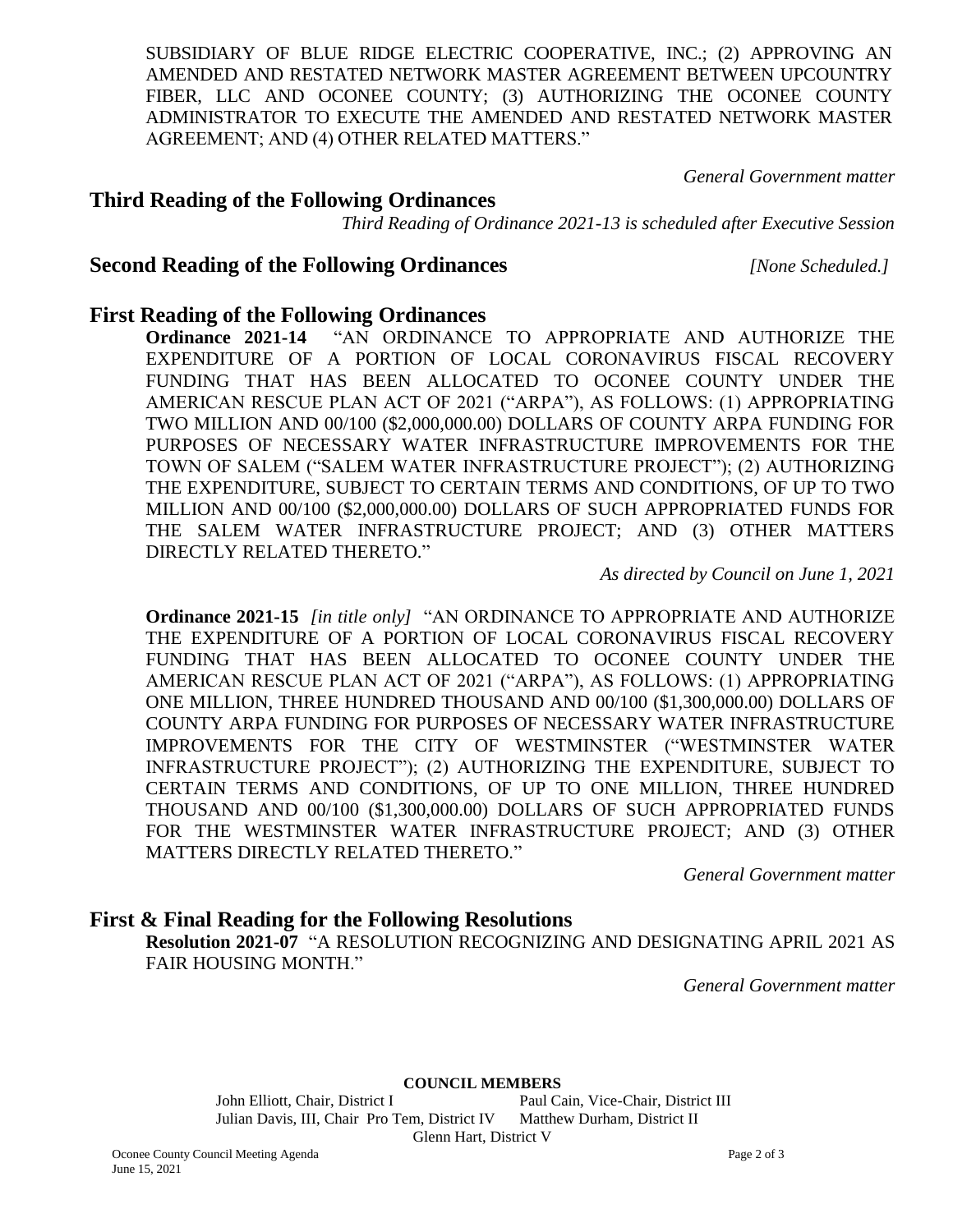SUBSIDIARY OF BLUE RIDGE ELECTRIC COOPERATIVE, INC.; (2) APPROVING AN AMENDED AND RESTATED NETWORK MASTER AGREEMENT BETWEEN UPCOUNTRY FIBER, LLC AND OCONEE COUNTY; (3) AUTHORIZING THE OCONEE COUNTY ADMINISTRATOR TO EXECUTE THE AMENDED AND RESTATED NETWORK MASTER AGREEMENT; AND (4) OTHER RELATED MATTERS."

*General Government matter*

#### **Third Reading of the Following Ordinances**

*Third Reading of Ordinance 2021-13 is scheduled after Executive Session*

#### **Second Reading of the Following Ordinances** *[None Scheduled.]*

#### **First Reading of the Following Ordinances**

**Ordinance 2021-14** "AN ORDINANCE TO APPROPRIATE AND AUTHORIZE THE EXPENDITURE OF A PORTION OF LOCAL CORONAVIRUS FISCAL RECOVERY FUNDING THAT HAS BEEN ALLOCATED TO OCONEE COUNTY UNDER THE AMERICAN RESCUE PLAN ACT OF 2021 ("ARPA"), AS FOLLOWS: (1) APPROPRIATING TWO MILLION AND 00/100 (\$2,000,000.00) DOLLARS OF COUNTY ARPA FUNDING FOR PURPOSES OF NECESSARY WATER INFRASTRUCTURE IMPROVEMENTS FOR THE TOWN OF SALEM ("SALEM WATER INFRASTRUCTURE PROJECT"); (2) AUTHORIZING THE EXPENDITURE, SUBJECT TO CERTAIN TERMS AND CONDITIONS, OF UP TO TWO MILLION AND 00/100 (\$2,000,000.00) DOLLARS OF SUCH APPROPRIATED FUNDS FOR THE SALEM WATER INFRASTRUCTURE PROJECT; AND (3) OTHER MATTERS DIRECTLY RELATED THERETO."

*As directed by Council on June 1, 2021*

**Ordinance 2021-15** *[in title only]* "AN ORDINANCE TO APPROPRIATE AND AUTHORIZE THE EXPENDITURE OF A PORTION OF LOCAL CORONAVIRUS FISCAL RECOVERY FUNDING THAT HAS BEEN ALLOCATED TO OCONEE COUNTY UNDER THE AMERICAN RESCUE PLAN ACT OF 2021 ("ARPA"), AS FOLLOWS: (1) APPROPRIATING ONE MILLION, THREE HUNDRED THOUSAND AND 00/100 (\$1,300,000.00) DOLLARS OF COUNTY ARPA FUNDING FOR PURPOSES OF NECESSARY WATER INFRASTRUCTURE IMPROVEMENTS FOR THE CITY OF WESTMINSTER ("WESTMINSTER WATER INFRASTRUCTURE PROJECT"); (2) AUTHORIZING THE EXPENDITURE, SUBJECT TO CERTAIN TERMS AND CONDITIONS, OF UP TO ONE MILLION, THREE HUNDRED THOUSAND AND 00/100 (\$1,300,000.00) DOLLARS OF SUCH APPROPRIATED FUNDS FOR THE WESTMINSTER WATER INFRASTRUCTURE PROJECT; AND (3) OTHER MATTERS DIRECTLY RELATED THERETO."

*General Government matter*

#### **First & Final Reading for the Following Resolutions**

**Resolution 2021-07** "A RESOLUTION RECOGNIZING AND DESIGNATING APRIL 2021 AS FAIR HOUSING MONTH."

*General Government matter*

**COUNCIL MEMBERS**

John Elliott, Chair, District I Paul Cain, Vice-Chair, District III Julian Davis, III, Chair Pro Tem, District IV Matthew Durham, District II Glenn Hart, District V

Oconee County Council Meeting Agenda Page 2 of 3 June 15, 2021